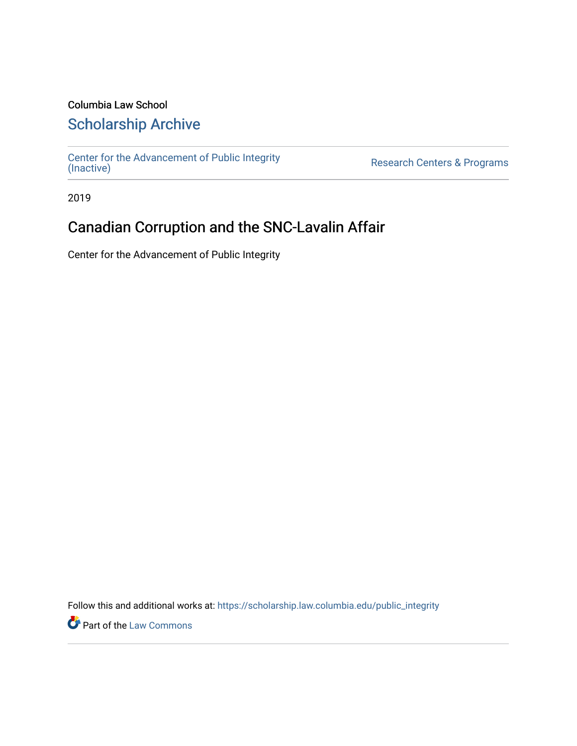### Columbia Law School

## [Scholarship Archive](https://scholarship.law.columbia.edu/)

[Center for the Advancement of Public Integrity](https://scholarship.law.columbia.edu/public_integrity)<br>(Inactive)

Research Centers & Programs

2019

## Canadian Corruption and the SNC-Lavalin Affair

Center for the Advancement of Public Integrity

Follow this and additional works at: [https://scholarship.law.columbia.edu/public\\_integrity](https://scholarship.law.columbia.edu/public_integrity?utm_source=scholarship.law.columbia.edu%2Fpublic_integrity%2F13&utm_medium=PDF&utm_campaign=PDFCoverPages)

**Part of the [Law Commons](http://network.bepress.com/hgg/discipline/578?utm_source=scholarship.law.columbia.edu%2Fpublic_integrity%2F13&utm_medium=PDF&utm_campaign=PDFCoverPages)**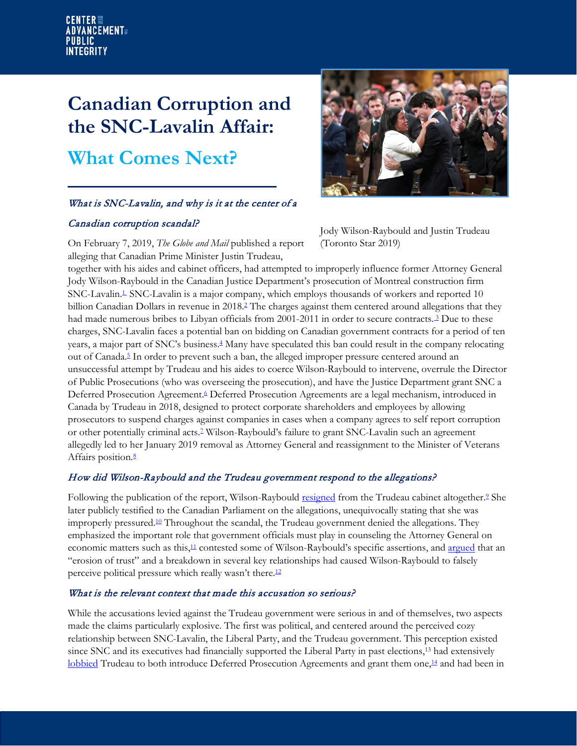# **Canadian Corruption and the SNC-Lavalin Affair: What Comes Next?**

#### What is SNC-Lavalin, and why is it at the center of a

#### Canadian corruption scandal?

On February 7, 2019, *The Globe and Mail* published a report alleging that Canadian Prime Minister Justin Trudeau,



Jody Wilson-Raybould and Justin Trudeau (Toronto Star 2019)

together with his aides and cabinet officers, had attempted to improperly influence former Attorney General Jody Wilson-Raybould in the Canadian Justice Department's prosecution of Montreal construction firm SNC-Lavali[n.](https://www.theglobeandmail.com/politics/article-pmo-pressed-justice-minister-to-abandon-prosecution-of-snc-lavalin/)<sup>1</sup> SNC-Lavalin is a major company, which employs thousands of workers and reported 10 billion Canadian Dollars in revenue in 2018[.](https://www.snclavalin.com/%7E/media/Files/S/SNC-Lavalin/investor-briefcase/en/2018/annual-info-form-2018.pdf) <sup>2</sup> The charges against them centered around allegations that they had made numerous bribes to Libyan officials from 2001-2011 in order to secure contract[s.](https://montrealgazette.com/business/local-business/rmcp-charges-snc-lavalin-with-corruption)<sup>3</sup> Due to these charges, SNC-Lavalin faces a potential ban on bidding on Canadian government contracts for a period of ten years, a major part of SNC's business. [4](https://www.cbc.ca/news/business/financial-fall-out-snc-lavalin-1.5047742) Many have speculated this ban could result in the company relocating out of Canada.<sup>5</sup> In order to prevent such a ban, the alleged improper pressure centered around an unsuccessful attempt by Trudeau and his aides to coerce Wilson-Raybould to intervene, overrule the Director of Public Prosecutions (who was overseeing the prosecution), and have the Justice Department grant SNC a Deferred Prosecution Agreemen[t.](https://www.theglobeandmail.com/politics/article-pmo-pressed-justice-minister-to-abandon-prosecution-of-snc-lavalin/)<sup>6</sup> Deferred Prosecution Agreements are a legal mechanism, introduced in Canada by Trudeau in 2018, designed to protect corporate shareholders and employees by allowing prosecutors to suspend charges against companies in cases when a company agrees to self report corruption or other potentially criminal act[s.7](https://www.cbc.ca/news/politics/federal-budget-corporate-wrongdoing-1.4664490) Wilson-Raybould's failure to grant SNC-Lavalin such an agreement allegedly led to her January 2019 removal as Attorney General and reassignment to the Minister of Veterans Affairs position[.](https://www.theglobeandmail.com/politics/article-pmo-pressed-justice-minister-to-abandon-prosecution-of-snc-lavalin/)<sup>8</sup>

#### How did Wilson-Raybould and the Trudeau government respond to the allegations?

Following the publication of the report, Wilson-Raybould [resigned](https://globalnews.ca/news/4952236/jody-wilsonraybould-resigns-snc-lavalin-affair/) from the Trudeau cabinet altogether.<sup>2</sup> She later publicly testified to the Canadian Parliament on the allegations, unequivocally stating that she was improperly pressured.<sup>10</sup> Throughout the scandal, the Trudeau government denied the allegations. They emphasized the important role that government officials must play in counseling the Attorney General on economic matters such as this,<sup>11</sup> contested some of Wilson-Raybould's specific assertions, and [argued](https://www.cbc.ca/news/politics%20/trudeau-snc-lavalin-1.5046438) that an "erosion of trust" and a breakdown in several key relationships had caused Wilson-Raybould to falsely perceive political pressure which really wasn't there.<sup>[12](https://www.cbc.ca/news/politics%20/trudeau-snc-lavalin-1.5046438)</sup>

#### What is the relevant context that made this accusation so serious?

While the accusations levied against the Trudeau government were serious in and of themselves, two aspects made the claims particularly explosive. The first was political, and centered around the perceived cozy relationship between SNC-Lavalin, the Liberal Party, and the Trudeau government. This perception existed since SNC and its executives had financially supported the Liberal Party in past elections,13 had extensively [lobbied](https://www.bloomberg.com/news/articles/2019-03-11/meet-snc-the-company-that-trudeau-s-risking-his-career-to-save) Trudeau to both introduce Deferred Prosecution Agreements and grant them one,<sup>[14](https://www.bloomberg.com/news/articles/2019-03-11/meet-snc-the-company-that-trudeau-s-risking-his-career-to-save)</sup> and had been in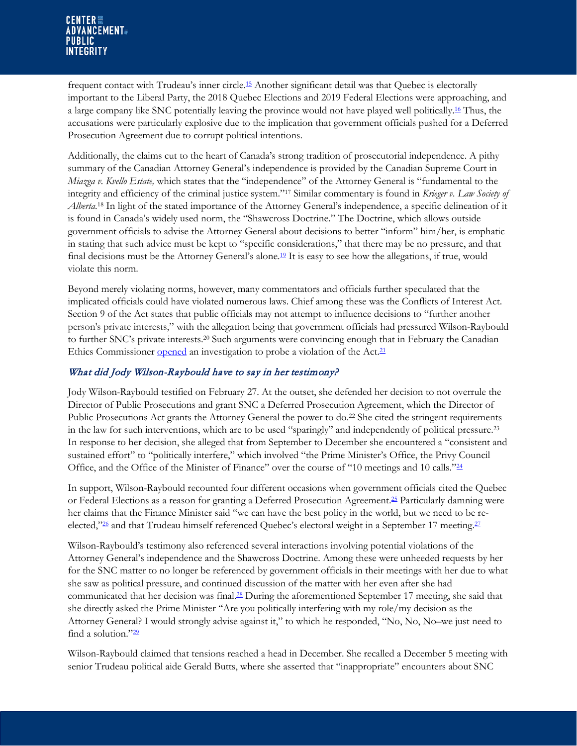frequent contact with Trudeau's inner circl[e.15](https://www.bloomberg.com/news/articles/2019-03-11/meet-snc-the-company-that-trudeau-s-risking-his-career-to-save) Another significant detail was that Quebec is electorally important to the Liberal Party, the 2018 Quebec Elections and 2019 Federal Elections were approaching, and a large company like SNC potentially leaving the province would not have played well politically.<sup>[16](https://www.bloomberg.com/news/articles/2019-03-11/meet-snc-the-company-that-trudeau-s-risking-his-career-to-save)</sup> Thus, the accusations were particularly explosive due to the implication that government officials pushed for a Deferred Prosecution Agreement due to corrupt political intentions.

Additionally, the claims cut to the heart of Canada's strong tradition of prosecutorial independence. A pithy summary of the Canadian Attorney General's independence is provided by the Canadian Supreme Court in *Miazga v. Kvello Estate,* which states that the "independence" of the Attorney General is "fundamental to the integrity and efficiency of the criminal justice system."17 Similar commentary is found in *Krieger v. Law Society of Alberta.*<sup>18</sup> In light of the stated importance of the Attorney General's independence, a specific delineation of it is found in Canada's widely used norm, the "Shawcross Doctrine." The Doctrine, which allows outside government officials to advise the Attorney General about decisions to better "inform" him/her, is emphatic in stating that such advice must be kept to "specific considerations," that there may be no pressure, and that final decisions must be the Attorney General's alone.<sup>19</sup> It is easy to see how the allegations, if true, would violate this norm.

Beyond merely violating norms, however, many commentators and officials further speculated that the implicated officials could have violated numerous laws. Chief among these was the Conflicts of Interest Act. Section 9 of the Act states that public officials may not attempt to influence decisions to "further another person's private interests," with the allegation being that government officials had pressured Wilson-Raybould to further SNC's private interests.20 Such arguments were convincing enough that in February the Canadian Ethics Commissioner [opened](https://nationalpost.com/%20news/politics/ethics-commissioner-launches-investigation-into-political-interference-allegations-in-snc-lavalin-cas) an investigation to probe a violation of the Act.<sup>21</sup>

#### What did Jody Wilson-Raybould have to say in her testimony?

Jody Wilson-Raybould testified on February 27. At the outset, she defended her decision to not overrule the Director of Public Prosecutions and grant SNC a Deferred Prosecution Agreement, which the Director of Public Prosecutions Act grants the Attorney General the power to do.22 She cited the stringent requirements in the law for such interventions, which are to be used "sparingly" and independently of political pressure.23 In response to her decision, she alleged that from September to December she encountered a "consistent and sustained effort" to "politically interfere," which involved "the Prime Minister's Office, the Privy Council Office, and the Office of the Minister of Finance" over the course of "10 meetings and 10 calls.["24](https://www.ourcommons.ca/Content/Committee/421/JUST/Evidence/EV10349068/JUSTEV135-E.PDF)

In support, Wilson-Raybould recounted four different occasions when government officials cited the Quebec or Federal Elections as a reason for granting a Deferred Prosecution Agreement. [25](https://www.ourcommons.ca/Content/Committee/421/JUST/Evidence/EV10349068/JUSTEV135-E.PDF) Particularly damning were her claims that the Finance Minister said "we can have the best policy in the world, but we need to be reelected,"<sup>26</sup> and that Trudeau himself referenced Quebec's electoral weight in a September 17 meeting.<sup>27</sup>

Wilson-Raybould's testimony also referenced several interactions involving potential violations of the Attorney General's independence and the Shawcross Doctrine. Among these were unheeded requests by her for the SNC matter to no longer be referenced by government officials in their meetings with her due to what she saw as political pressure, and continued discussion of the matter with her even after she had communicated that her decision was final[.28](https://www.ourcommons.ca/Content/Committee/421/JUST/Evidence/EV10349068/JUSTEV135-E.PDF) During the aforementioned September 17 meeting, she said that she directly asked the Prime Minister "Are you politically interfering with my role/my decision as the Attorney General? I would strongly advise against it," to which he responded, "No, No, No–we just need to find a solution."<sup>29</sup>

Wilson-Raybould claimed that tensions reached a head in December. She recalled a December 5 meeting with senior Trudeau political aide Gerald Butts, where she asserted that "inappropriate" encounters about SNC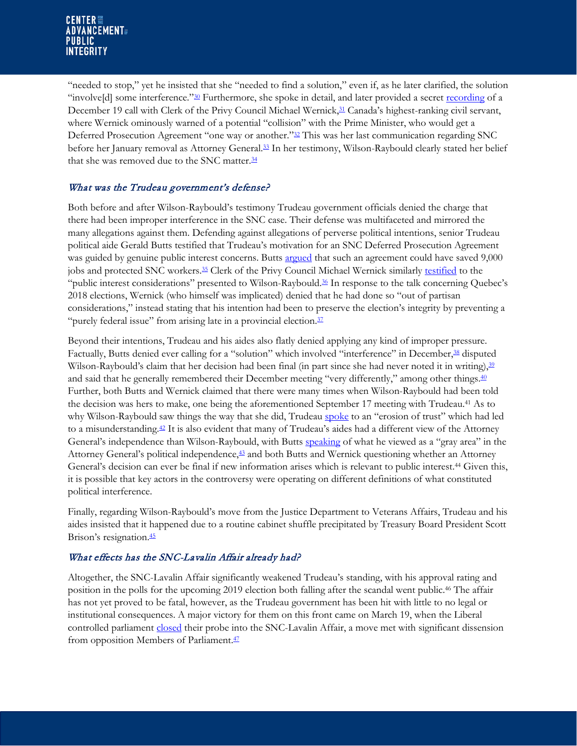"needed to stop," yet he insisted that she "needed to find a solution," even if, as he later clarified, the solution "involve[d] some interference."<sup>30</sup> Furthermore, she spoke in detail, and later provided a secret [recording](https://nationalpost.com/news/politics/newsalert-justice-committee-releases-texts-%20recording-from-wilson-raybould) of a December 19 call with Clerk of the Privy Council Michael Wernick,<sup>31</sup> Canada's highest-ranking civil servant, where Wernick ominously warned of a potential "collision" with the Prime Minister, who would get a Deferred Prosecution Agreement "one way or another.["32](https://www.ourcommons.ca/Content/Committee/421/JUST/Evidence/EV10349068/JUSTEV135-E.PDF) This was her last communication regarding SNC before her January removal as Attorney General. [33](https://www.ourcommons.ca/Content/Committee/421/JUST/Evidence/EV10349068/JUSTEV135-E.PDF) In her testimony, Wilson-Raybould clearly stated her belief that she was removed due to the SNC matter.<sup>34</sup>

#### What was the Trudeau government's defense?

Both before and after Wilson-Raybould's testimony Trudeau government officials denied the charge that there had been improper interference in the SNC case. Their defense was multifaceted and mirrored the many allegations against them. Defending against allegations of perverse political intentions, senior Trudeau political aide Gerald Butts testified that Trudeau's motivation for an SNC Deferred Prosecution Agreement was guided by genuine public interest concerns. Butts [argued](https://globalnews.ca/news/5023881/snc-lavalin-gerald-butts-jody-wilson-raybould/) that such an agreement could have saved 9,000 jobs and protected SNC workers[.35](https://globalnews.ca/news/5023881/snc-lavalin-gerald-butts-jody-wilson-raybould/) Clerk of the Privy Council Michael Wernick similarly [testified](https://www.macleans.ca/politics/michael-wernick-testifies-at-justice-committee%20-full-opening-statement/) to the "public interest considerations" presented to Wilson-Rayboul[d.36](https://www.macleans.ca/politics/michael-wernick-testifies-at-justice-committee%20-full-opening-statement/) In response to the talk concerning Quebec's 2018 elections, Wernick (who himself was implicated) denied that he had done so "out of partisan considerations," instead stating that his intention had been to preserve the election's integrity by preventing a "purely federal issue" from arising late in a provincial election.<sup>37</sup>

Beyond their intentions, Trudeau and his aides also flatly denied applying any kind of improper pressure. Factually, Butts denied ever calling for a "solution" which involved "interference" in December,<sup>38</sup> disputed Wilson-Raybould's claim that her decision had been final (in part since she had never noted it in writing), <sup>39</sup> and said that he generally remembered their December meeting "very differently," among other things.<sup>40</sup> Further, both Butts and Wernick claimed that there were many times when Wilson-Raybould had been told the decision was hers to make, one being the aforementioned September 17 meeting with Trudeau.41 As to why Wilson-Raybould saw things the way that she did, Trudeau [spoke](https://www.cbc.ca/news/politics/trudeau-snc-lavalin-1.5046438) to an "erosion of trust" which had led to a misunderstanding[.42](https://www.cbc.ca/news/politics/trudeau-snc-lavalin-1.5046438) It is also evident that many of Trudeau's aides had a different view of the Attorney General's independence than Wilson-Raybould, with Butts [speaking](https://globalnews.ca/news/5023881/snc-lavalin-gerald-butts-jody-wilson-raybould/) of what he viewed as a "gray area" in the Attorney General's political independenc[e,43](https://globalnews.ca/news/5023881/snc-lavalin-gerald-butts-jody-wilson-raybould/) and both Butts and Wernick questioning whether an Attorney General's decision can ever be final if new information arises which is relevant to public interest.44 Given this, it is possible that key actors in the controversy were operating on different definitions of what constituted political interference.

Finally, regarding Wilson-Raybould's move from the Justice Department to Veterans Affairs, Trudeau and his aides insisted that it happened due to a routine cabinet shuffle precipitated by Treasury Board President Scott Brison's resignation.<sup>45</sup>

#### What effects has the SNC-Lavalin Affair already had?

Altogether, the SNC-Lavalin Affair significantly weakened Trudeau's standing, with his approval rating and position in the polls for the upcoming 2019 election both falling after the scandal went public. <sup>46</sup> The affair has not yet proved to be fatal, however, as the Trudeau government has been hit with little to no legal or institutional consequences. A major victory for them on this front came on March 19, when the Liberal controlled parliament [closed](https://ipolitics.ca/2019/03/19/liberals-shut-down-snc-lavalin-investigation%20-at-committee/) their probe into the SNC-Lavalin Affair, a move met with significant dissension from opposition Members of Parliament.<sup>47</sup>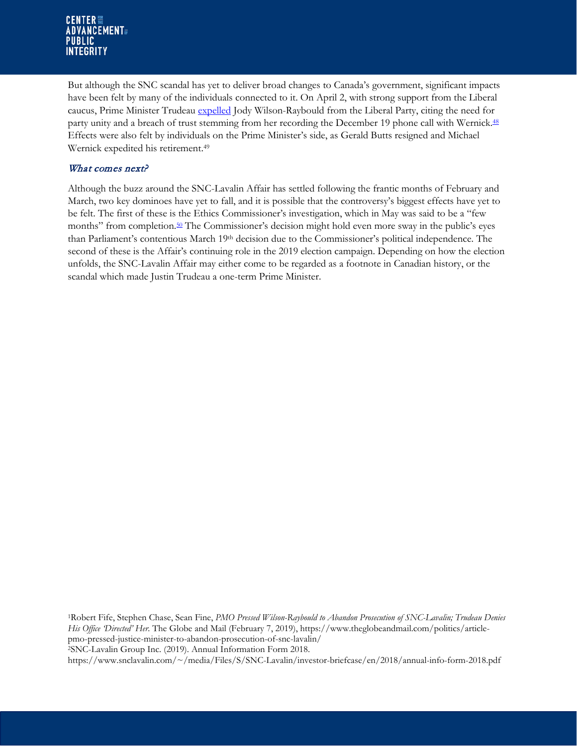#### **CENTER FOR ADVANCEMENT PUBLIC INTEGRITY**

But although the SNC scandal has yet to deliver broad changes to Canada's government, significant impacts have been felt by many of the individuals connected to it. On April 2, with strong support from the Liberal caucus, Prime Minister Trudeau [expelled](https://www.cbc.ca/news/politics/liberals-wilson-raybould-philpott-caucus-1.5080880) Jody Wilson-Raybould from the Liberal Party, citing the need for party unity and a breach of trust stemming from her recording the December 19 phone call with Wernick.<sup>48</sup> Effects were also felt by individuals on the Prime Minister's side, as Gerald Butts resigned and Michael Wernick expedited his retirement.49

#### What comes next?

Although the buzz around the SNC-Lavalin Affair has settled following the frantic months of February and March, two key dominoes have yet to fall, and it is possible that the controversy's biggest effects have yet to be felt. The first of these is the Ethics Commissioner's investigation, which in May was said to be a "few months" from completion[.50](https://www.theglobeandmail.com/politics/article-ethics-commissioners-report-on-pmos-snc-lavalin-actions-coming-in/) The Commissioner's decision might hold even more sway in the public's eyes than Parliament's contentious March 19th decision due to the Commissioner's political independence. The second of these is the Affair's continuing role in the 2019 election campaign. Depending on how the election unfolds, the SNC-Lavalin Affair may either come to be regarded as a footnote in Canadian history, or the scandal which made Justin Trudeau a one-term Prime Minister.

1Robert Fife, Stephen Chase, Sean Fine, *PMO Pressed Wilson-Raybould to Abandon Prosecution of SNC-Lavalin; Trudeau Denies His Office 'Directed' Her.* The Globe and Mail (February 7, 2019)[, https://www.theglobeandmail.com/politics/article](https://www.theglobeandmail.com/politics/article-pmo-pressed-justice-minister-to-abandon-prosecution-of-snc-lavalin/)[pmo-pressed-justice-minister-to-abandon-prosecution-of-snc-lavalin/](https://www.theglobeandmail.com/politics/article-pmo-pressed-justice-minister-to-abandon-prosecution-of-snc-lavalin/) 2SNC-Lavalin Group Inc. (2019). Annual Information Form 2018. [https://www.snclavalin.com/~/media/Files/S/SNC-Lavalin/investor-briefcase/en/2018/annual-info-form-2018.pdf](https://www.snclavalin.com/%7E/media/Files/S/SNC-Lavalin/investor-briefcase/en/2018/annual-info-form-2018.pdf)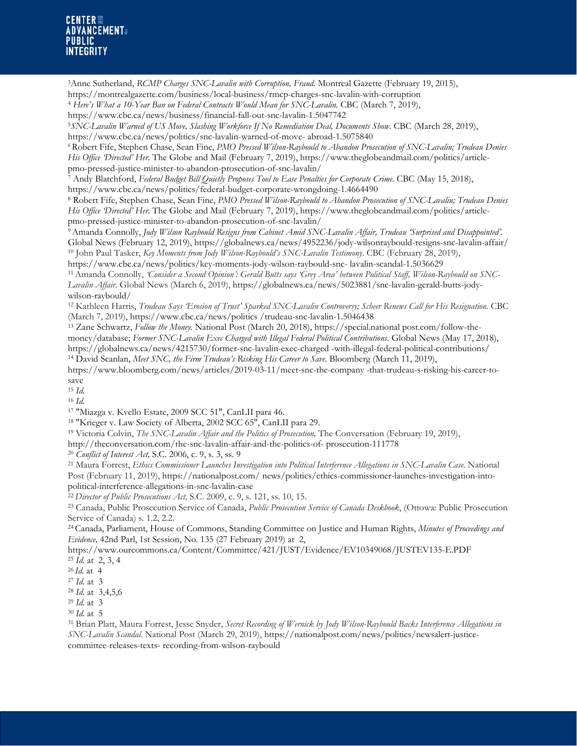#### **CENTER FOR ADVANCEMENT PUBLIC INTEGRITY**

3Anne Sutherland, *RCMP Charges SNC-Lavalin with Corruption, Fraud.* Montreal Gazette (February 19, 2015),

<https://montrealgazette.com/business/local-business/rmcp-charges-snc-lavalin-with-corruption>

<sup>4</sup> *Here's What a 10-Year Ban on Federal Contracts Would Mean for SNC-Lavalin.* CBC (March 7, 2019),

<sup>5</sup>*SNC-Lavalin Warned of US Move, Slashing Workforce If No Remediation Deal, Documents Show.* CBC (March 28, 2019), [https://www.cbc.ca/news/politics/snc-lavalin-warned-of-move-](https://www.cbc.ca/news/politics/snc-lavalin-warned-of-move-abroad-1.5075840) abroad-1.5075840

*<sup>6</sup>*Robert Fife, Stephen Chase, Sean Fine, *PMO Pressed Wilson-Raybould to Abandon Prosecution of SNC-Lavalin; Trudeau Denies His Office 'Directed' Her.* The Globe and Mail (February 7, 2019)[, https://www.theglobeandmail.com/politics/article](https://www.theglobeandmail.com/politics/article-pmo-pressed-justice-minister-to-abandon-prosecution-of-snc-lavalin/)[pmo-pressed-justice-minister-to-abandon-prosecution-of-snc-lavalin/](https://www.theglobeandmail.com/politics/article-pmo-pressed-justice-minister-to-abandon-prosecution-of-snc-lavalin/)

<sup>7</sup> Andy Blatchford, *Federal Budget Bill Quietly Proposes Tool to Ease Penalties for Corporate Crime.* CBC (May 15, 2018), <https://www.cbc.ca/news/politics/federal-budget-corporate-wrongdoing-1.4664490>

<sup>8</sup> Robert Fife, Stephen Chase, Sean Fine, *PMO Pressed Wilson-Raybould to Abandon Prosecution of SNC-Lavalin; Trudeau Denies His Office 'Directed' Her.* The Globe and Mail (February 7, 2019)[, https://www.theglobeandmail.com/politics/article](https://www.theglobeandmail.com/politics/article-pmo-pressed-justice-minister-to-abandon-prosecution-of-snc-lavalin/)[pmo-pressed-justice-minister-to-abandon-prosecution-of-snc-lavalin/](https://www.theglobeandmail.com/politics/article-pmo-pressed-justice-minister-to-abandon-prosecution-of-snc-lavalin/)

9Amanda Connolly, *Jody Wilson Raybould Resigns from Cabinet Amid SNC-Lavalin Affair, Trudeau 'Surprised and Disappointed'.*  Global News (February 12, 2019),<https://globalnews.ca/news/4952236/jody-wilsonraybould-resigns-snc-lavalin-affair/> <sup>10</sup> John Paul Tasker, *Key Moments from Jody Wilson-Raybould's SNC-Lavalin Testimony*. CBC (February 28, 2019),

[https://www.cbc.ca/news/politics/key-moments-jody-wilson-raybould-snc-](https://www.cbc.ca/news/politics/key-moments-jody-wilson-raybould-snc-lavalin-scandal-1.5036629) lavalin-scandal-1.5036629

11Amanda Connolly, *'Consider a Second Opinion': Gerald Butts says 'Grey Area' between Political Staff, Wilson-Raybould on SNC-Lavalin Affair.* Global News (March 6, 2019), [https://globalnews.ca/news/5023881/snc-lavalin-gerald-butts-jody](https://globalnews.ca/news/5023881/snc-lavalin-gerald-butts-jody-wilson-raybould/)[wilson-raybould/](https://globalnews.ca/news/5023881/snc-lavalin-gerald-butts-jody-wilson-raybould/)

<sup>12</sup> Kathleen Harris, *Trudeau Says 'Erosion of Trust' Sparked SNC-Lavalin Controversy; Scheer Renews Call for His Resignation. CBC* (March 7, 2019), [https://www.cbc.ca/news/politics /trudeau-snc-lavalin-1.5046438](https://www.cbc.ca/news/politics/trudeau-snc-lavalin-1.5046438)

<sup>13</sup> Zane Schwartz, *Follow the Money.* National Post (March 20, 2018)[, https://special.national post.com/follow-the](https://special.nationalpost.com/follow-the-money/database)[money/database;](https://special.nationalpost.com/follow-the-money/database) *Former SNC-Lavalin Exec Charged with Illegal Federal Political Contributions*. Global News (May 17, 2018), [https://globalnews.ca/news/4215730/former-snc-lavalin-exec-charged -with-illegal-federal-political-contributions/](https://globalnews.ca/news/4215730/former-snc-lavalin-exec-charged-with-illegal-federal-political-contributions/) <sup>14</sup> David Scanlan, *Meet SNC, the Firm Trudeau's Risking His Career to Save.* Bloomberg (March 11, 2019),

[https://www.bloomberg.com/news/articles/2019-03-11/meet-snc-the-company -that-trudeau-s-risking-his-career-to](https://www.bloomberg.com/news/articles/2019-03-11/meet-snc-the-company-that-trudeau-s-risking-his-career-to-save)[save](https://www.bloomberg.com/news/articles/2019-03-11/meet-snc-the-company-that-trudeau-s-risking-his-career-to-save)

<sup>15</sup> *Id.*

<sup>16</sup> *Id.*

<sup>17</sup> "Miazga v. Kvello Estate, 2009 SCC 51", [CanLII](https://en.wikipedia.org/wiki/CanLII) para 46.

<sup>18</sup> "Krieger v. Law Society of Alberta, 2002 SCC 65", [CanLII](https://en.wikipedia.org/wiki/CanLII) para 29.

<sup>19</sup> Victoria Colvin, *The SNC-Lavalin Affair and the Politics of Prosecution,* The Conversation (February 19, 2019),

[http://theconversation.com/the-snc-lavalin-affair-and-the-politics-of-](http://theconversation.com/the-snc-lavalin-affair-and-the-politics-of-prosecution-111778) prosecution-111778

<sup>20</sup> *Conflict of Interest Act,* S.C. 2006, c. 9, s. 3, ss. 9

<sup>21</sup> Maura Forrest, *Ethics Commissioner Launches Investigation into Political Interference Allegations in SNC-Lavalin Case.* National Post (February 11, 2019), [https://nationalpost.com/ news/politics/ethics-commissioner-launches-investigation-into](https://nationalpost.com/%20news/politics/ethics-commissioner-launches-investigation-into-political-interference-allegations-in-snc-lavalin-case)[political-interference-allegations-in-snc-lavalin-case](https://nationalpost.com/%20news/politics/ethics-commissioner-launches-investigation-into-political-interference-allegations-in-snc-lavalin-case)

<sup>22</sup> *Director of Public Prosecutions Act,* S.C. 2009, c. 9, s. 121, ss. 10, 15.

<sup>23</sup> Canada, Public Prosecution Service of Canada, *Public Prosecution Service of Canada Deskbook*, (Ottowa: Public Prosecution Service of Canada) s. 1.2, 2.2.

<sup>24</sup> Canada, Parliament, House of Commons, Standing Committee on Justice and Human Rights, *Minutes of Proceedings and Evidence,* 42nd Parl, 1st Session, No. 135 (27 February 2019) at 2,

<https://www.ourcommons.ca/Content/Committee/421/JUST/Evidence/EV10349068/JUSTEV135-E.PDF>  $^{25}$  *Id.* at 2, 3, 4

<sup>26</sup> *Id.* at 4 <sup>27</sup> *Id.* at 3

<sup>28</sup> *Id.* at 3,4,5,6 29 *Id.* at <sup>3</sup>

<sup>30</sup> *Id.* at 5

<sup>31</sup> Brian Platt, Maura Forrest, Jesse Snyder, *Secret Recording of Wernick by Jody Wilson-Raybould Backs Interference Allegations in SNC-Lavalin Scandal*. National Post (March 29, 2019), [https://nationalpost.com/news/politics/newsalert-justice](https://nationalpost.com/news/politics/newsalert-justice-committee-releases-texts-recording-from-wilson-raybould)committee-releases-texts- [recording-from-wilson-raybould](https://nationalpost.com/news/politics/newsalert-justice-committee-releases-texts-recording-from-wilson-raybould)

<https://www.cbc.ca/news/business/financial-fall-out-snc-lavalin-1.5047742>